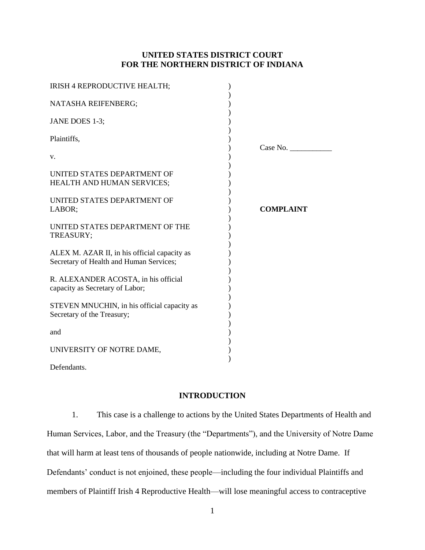# **UNITED STATES DISTRICT COURT FOR THE NORTHERN DISTRICT OF INDIANA**

| IRISH 4 REPRODUCTIVE HEALTH;                                                            |                  |
|-----------------------------------------------------------------------------------------|------------------|
| NATASHA REIFENBERG;                                                                     |                  |
| JANE DOES 1-3;                                                                          |                  |
| Plaintiffs,                                                                             |                  |
| V.                                                                                      | Case No.         |
| UNITED STATES DEPARTMENT OF<br>HEALTH AND HUMAN SERVICES;                               |                  |
| UNITED STATES DEPARTMENT OF<br>LABOR;                                                   | <b>COMPLAINT</b> |
| UNITED STATES DEPARTMENT OF THE<br>TREASURY;                                            |                  |
| ALEX M. AZAR II, in his official capacity as<br>Secretary of Health and Human Services; |                  |
| R. ALEXANDER ACOSTA, in his official<br>capacity as Secretary of Labor;                 |                  |
| STEVEN MNUCHIN, in his official capacity as<br>Secretary of the Treasury;               |                  |
| and                                                                                     |                  |
| UNIVERSITY OF NOTRE DAME,                                                               |                  |
| Defendants.                                                                             |                  |

# **INTRODUCTION**

1. This case is a challenge to actions by the United States Departments of Health and Human Services, Labor, and the Treasury (the "Departments"), and the University of Notre Dame that will harm at least tens of thousands of people nationwide, including at Notre Dame. If Defendants' conduct is not enjoined, these people—including the four individual Plaintiffs and members of Plaintiff Irish 4 Reproductive Health—will lose meaningful access to contraceptive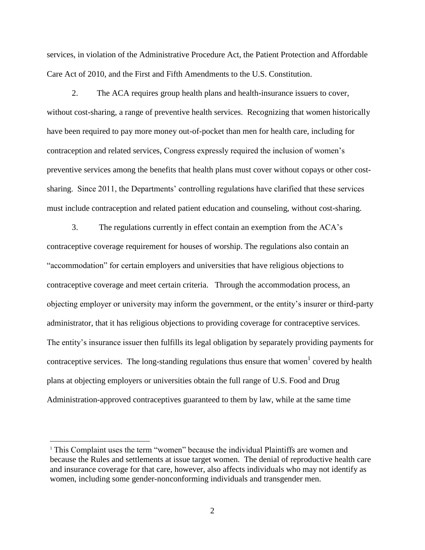services, in violation of the Administrative Procedure Act, the Patient Protection and Affordable Care Act of 2010, and the First and Fifth Amendments to the U.S. Constitution.

2. The ACA requires group health plans and health-insurance issuers to cover, without cost-sharing, a range of preventive health services. Recognizing that women historically have been required to pay more money out-of-pocket than men for health care, including for contraception and related services, Congress expressly required the inclusion of women's preventive services among the benefits that health plans must cover without copays or other costsharing. Since 2011, the Departments' controlling regulations have clarified that these services must include contraception and related patient education and counseling, without cost-sharing.

3. The regulations currently in effect contain an exemption from the ACA's contraceptive coverage requirement for houses of worship. The regulations also contain an "accommodation" for certain employers and universities that have religious objections to contraceptive coverage and meet certain criteria. Through the accommodation process, an objecting employer or university may inform the government, or the entity's insurer or third-party administrator, that it has religious objections to providing coverage for contraceptive services. The entity's insurance issuer then fulfills its legal obligation by separately providing payments for contraceptive services. The long-standing regulations thus ensure that women<sup>1</sup> covered by health plans at objecting employers or universities obtain the full range of U.S. Food and Drug Administration-approved contraceptives guaranteed to them by law, while at the same time

 $\overline{a}$ 

<sup>1</sup> This Complaint uses the term "women" because the individual Plaintiffs are women and because the Rules and settlements at issue target women. The denial of reproductive health care and insurance coverage for that care, however, also affects individuals who may not identify as women, including some gender-nonconforming individuals and transgender men.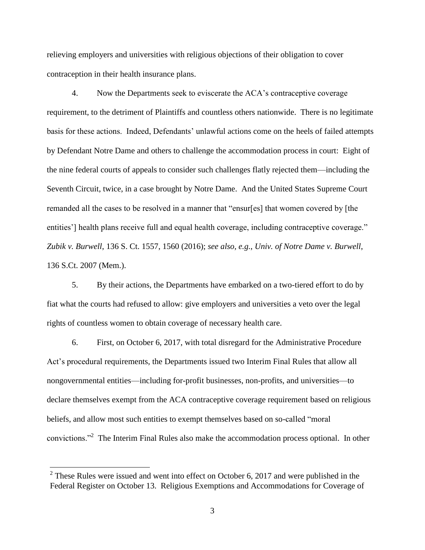relieving employers and universities with religious objections of their obligation to cover contraception in their health insurance plans.

4. Now the Departments seek to eviscerate the ACA's contraceptive coverage requirement, to the detriment of Plaintiffs and countless others nationwide. There is no legitimate basis for these actions. Indeed, Defendants' unlawful actions come on the heels of failed attempts by Defendant Notre Dame and others to challenge the accommodation process in court: Eight of the nine federal courts of appeals to consider such challenges flatly rejected them—including the Seventh Circuit, twice, in a case brought by Notre Dame. And the United States Supreme Court remanded all the cases to be resolved in a manner that "ensur[es] that women covered by [the entities'] health plans receive full and equal health coverage, including contraceptive coverage." *Zubik v. Burwell*, 136 S. Ct. 1557, 1560 (2016); *see also, e.g.*, *Univ. of Notre Dame v. Burwell*, 136 S.Ct. 2007 (Mem.).

5. By their actions, the Departments have embarked on a two-tiered effort to do by fiat what the courts had refused to allow: give employers and universities a veto over the legal rights of countless women to obtain coverage of necessary health care.

6. First, on October 6, 2017, with total disregard for the Administrative Procedure Act's procedural requirements, the Departments issued two Interim Final Rules that allow all nongovernmental entities—including for-profit businesses, non-profits, and universities—to declare themselves exempt from the ACA contraceptive coverage requirement based on religious beliefs, and allow most such entities to exempt themselves based on so-called "moral convictions."<sup>2</sup> The Interim Final Rules also make the accommodation process optional. In other

 $\overline{a}$ 

 $2^2$  These Rules were issued and went into effect on October 6, 2017 and were published in the Federal Register on October 13. Religious Exemptions and Accommodations for Coverage of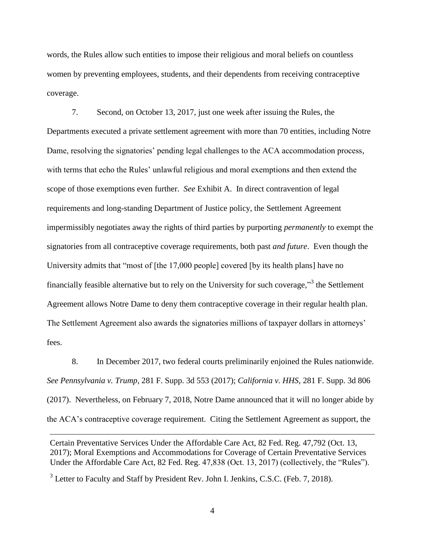words, the Rules allow such entities to impose their religious and moral beliefs on countless women by preventing employees, students, and their dependents from receiving contraceptive coverage.

7. Second, on October 13, 2017, just one week after issuing the Rules, the Departments executed a private settlement agreement with more than 70 entities, including Notre Dame, resolving the signatories' pending legal challenges to the ACA accommodation process, with terms that echo the Rules' unlawful religious and moral exemptions and then extend the scope of those exemptions even further. *See* Exhibit A. In direct contravention of legal requirements and long-standing Department of Justice policy, the Settlement Agreement impermissibly negotiates away the rights of third parties by purporting *permanently* to exempt the signatories from all contraceptive coverage requirements, both past *and future*. Even though the University admits that "most of [the 17,000 people] covered [by its health plans] have no financially feasible alternative but to rely on the University for such coverage,"<sup>3</sup> the Settlement Agreement allows Notre Dame to deny them contraceptive coverage in their regular health plan. The Settlement Agreement also awards the signatories millions of taxpayer dollars in attorneys' fees.

8. In December 2017, two federal courts preliminarily enjoined the Rules nationwide. *See Pennsylvania v. Trump*, 281 F. Supp. 3d 553 (2017); *California v. HHS*, 281 F. Supp. 3d 806 (2017). Nevertheless, on February 7, 2018, Notre Dame announced that it will no longer abide by the ACA's contraceptive coverage requirement. Citing the Settlement Agreement as support, the

Certain Preventative Services Under the Affordable Care Act, 82 Fed. Reg. 47,792 (Oct. 13, 2017); Moral Exemptions and Accommodations for Coverage of Certain Preventative Services Under the Affordable Care Act, 82 Fed. Reg. 47,838 (Oct. 13, 2017) (collectively, the "Rules").

 $3$  Letter to Faculty and Staff by President Rev. John I. Jenkins, C.S.C. (Feb. 7, 2018).

 $\overline{a}$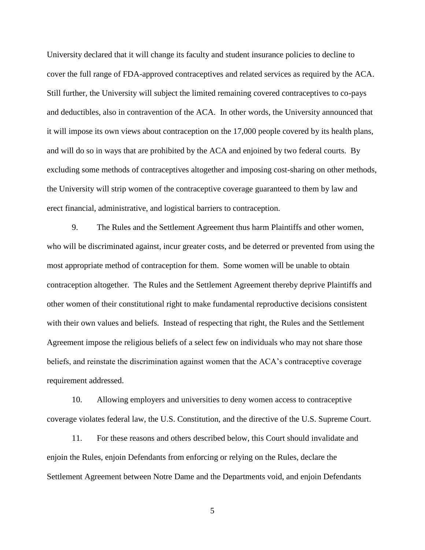University declared that it will change its faculty and student insurance policies to decline to cover the full range of FDA-approved contraceptives and related services as required by the ACA. Still further, the University will subject the limited remaining covered contraceptives to co-pays and deductibles, also in contravention of the ACA. In other words, the University announced that it will impose its own views about contraception on the 17,000 people covered by its health plans, and will do so in ways that are prohibited by the ACA and enjoined by two federal courts. By excluding some methods of contraceptives altogether and imposing cost-sharing on other methods, the University will strip women of the contraceptive coverage guaranteed to them by law and erect financial, administrative, and logistical barriers to contraception.

9. The Rules and the Settlement Agreement thus harm Plaintiffs and other women, who will be discriminated against, incur greater costs, and be deterred or prevented from using the most appropriate method of contraception for them. Some women will be unable to obtain contraception altogether. The Rules and the Settlement Agreement thereby deprive Plaintiffs and other women of their constitutional right to make fundamental reproductive decisions consistent with their own values and beliefs. Instead of respecting that right, the Rules and the Settlement Agreement impose the religious beliefs of a select few on individuals who may not share those beliefs, and reinstate the discrimination against women that the ACA's contraceptive coverage requirement addressed.

10. Allowing employers and universities to deny women access to contraceptive coverage violates federal law, the U.S. Constitution, and the directive of the U.S. Supreme Court.

11. For these reasons and others described below, this Court should invalidate and enjoin the Rules, enjoin Defendants from enforcing or relying on the Rules, declare the Settlement Agreement between Notre Dame and the Departments void, and enjoin Defendants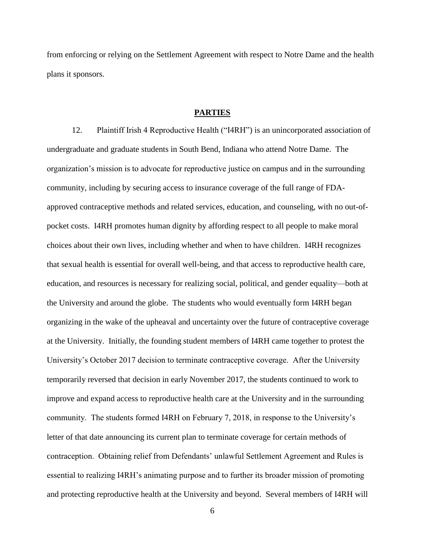from enforcing or relying on the Settlement Agreement with respect to Notre Dame and the health plans it sponsors.

### **PARTIES**

12. Plaintiff Irish 4 Reproductive Health ("I4RH") is an unincorporated association of undergraduate and graduate students in South Bend, Indiana who attend Notre Dame. The organization's mission is to advocate for reproductive justice on campus and in the surrounding community, including by securing access to insurance coverage of the full range of FDAapproved contraceptive methods and related services, education, and counseling, with no out-ofpocket costs. I4RH promotes human dignity by affording respect to all people to make moral choices about their own lives, including whether and when to have children. I4RH recognizes that sexual health is essential for overall well-being, and that access to reproductive health care, education, and resources is necessary for realizing social, political, and gender equality—both at the University and around the globe. The students who would eventually form I4RH began organizing in the wake of the upheaval and uncertainty over the future of contraceptive coverage at the University. Initially, the founding student members of I4RH came together to protest the University's October 2017 decision to terminate contraceptive coverage. After the University temporarily reversed that decision in early November 2017, the students continued to work to improve and expand access to reproductive health care at the University and in the surrounding community. The students formed I4RH on February 7, 2018, in response to the University's letter of that date announcing its current plan to terminate coverage for certain methods of contraception. Obtaining relief from Defendants' unlawful Settlement Agreement and Rules is essential to realizing I4RH's animating purpose and to further its broader mission of promoting and protecting reproductive health at the University and beyond. Several members of I4RH will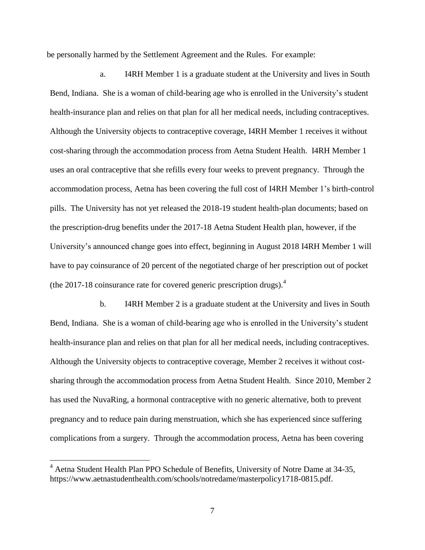be personally harmed by the Settlement Agreement and the Rules. For example:

a. I4RH Member 1 is a graduate student at the University and lives in South Bend, Indiana. She is a woman of child-bearing age who is enrolled in the University's student health-insurance plan and relies on that plan for all her medical needs, including contraceptives. Although the University objects to contraceptive coverage, I4RH Member 1 receives it without cost-sharing through the accommodation process from Aetna Student Health. I4RH Member 1 uses an oral contraceptive that she refills every four weeks to prevent pregnancy. Through the accommodation process, Aetna has been covering the full cost of I4RH Member 1's birth-control pills. The University has not yet released the 2018-19 student health-plan documents; based on the prescription-drug benefits under the 2017-18 Aetna Student Health plan, however, if the University's announced change goes into effect, beginning in August 2018 I4RH Member 1 will have to pay coinsurance of 20 percent of the negotiated charge of her prescription out of pocket (the 2017-18 coinsurance rate for covered generic prescription drugs). $4$ 

b. I4RH Member 2 is a graduate student at the University and lives in South Bend, Indiana. She is a woman of child-bearing age who is enrolled in the University's student health-insurance plan and relies on that plan for all her medical needs, including contraceptives. Although the University objects to contraceptive coverage, Member 2 receives it without costsharing through the accommodation process from Aetna Student Health. Since 2010, Member 2 has used the NuvaRing, a hormonal contraceptive with no generic alternative, both to prevent pregnancy and to reduce pain during menstruation, which she has experienced since suffering complications from a surgery. Through the accommodation process, Aetna has been covering

 $\overline{a}$ 

<sup>&</sup>lt;sup>4</sup> Aetna Student Health Plan PPO Schedule of Benefits, University of Notre Dame at 34-35, https://www.aetnastudenthealth.com/schools/notredame/masterpolicy1718-0815.pdf.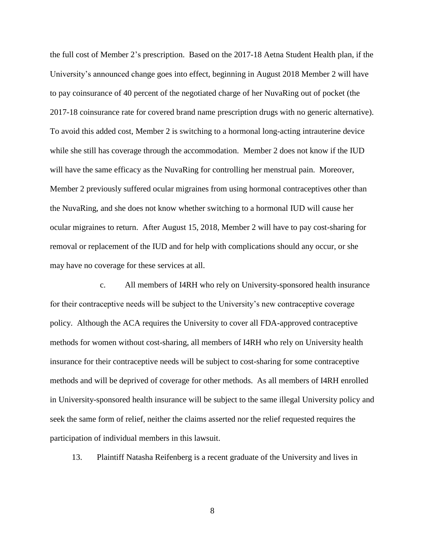the full cost of Member 2's prescription. Based on the 2017-18 Aetna Student Health plan, if the University's announced change goes into effect, beginning in August 2018 Member 2 will have to pay coinsurance of 40 percent of the negotiated charge of her NuvaRing out of pocket (the 2017-18 coinsurance rate for covered brand name prescription drugs with no generic alternative). To avoid this added cost, Member 2 is switching to a hormonal long-acting intrauterine device while she still has coverage through the accommodation. Member 2 does not know if the IUD will have the same efficacy as the NuvaRing for controlling her menstrual pain. Moreover, Member 2 previously suffered ocular migraines from using hormonal contraceptives other than the NuvaRing, and she does not know whether switching to a hormonal IUD will cause her ocular migraines to return. After August 15, 2018, Member 2 will have to pay cost-sharing for removal or replacement of the IUD and for help with complications should any occur, or she may have no coverage for these services at all.

c. All members of I4RH who rely on University-sponsored health insurance for their contraceptive needs will be subject to the University's new contraceptive coverage policy. Although the ACA requires the University to cover all FDA-approved contraceptive methods for women without cost-sharing, all members of I4RH who rely on University health insurance for their contraceptive needs will be subject to cost-sharing for some contraceptive methods and will be deprived of coverage for other methods. As all members of I4RH enrolled in University-sponsored health insurance will be subject to the same illegal University policy and seek the same form of relief, neither the claims asserted nor the relief requested requires the participation of individual members in this lawsuit.

13. Plaintiff Natasha Reifenberg is a recent graduate of the University and lives in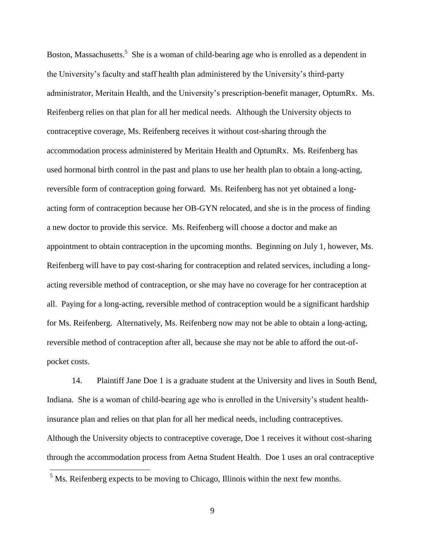Boston, Massachusetts.<sup>5</sup> She is a woman of child-bearing age who is enrolled as a dependent in the University's faculty and staff health plan administered by the University's third-party administrator, Meritain Health, and the University's prescription-benefit manager, OptumRx. Ms. Reifenberg relies on that plan for all her medical needs. Although the University objects to contraceptive coverage, Ms. Reifenberg receives it without cost-sharing through the accommodation process administered by Meritain Health and OptumRx. Ms. Reifenberg has used hormonal birth control in the past and plans to use her health plan to obtain a long-acting, reversible form of contraception going forward. Ms. Reifenberg has not yet obtained a longacting form of contraception because her OB-GYN relocated, and she is in the process of finding a new doctor to provide this service. Ms. Reifenberg will choose a doctor and make an appointment to obtain contraception in the upcoming months. Beginning on July 1, however, Ms. Reifenberg will have to pay cost-sharing for contraception and related services, including a longacting reversible method of contraception, or she may have no coverage for her contraception at all. Paying for a long-acting, reversible method of contraception would be a significant hardship for Ms. Reifenberg. Alternatively, Ms. Reifenberg now may not be able to obtain a long-acting, reversible method of contraception after all, because she may not be able to afford the out-ofpocket costs.

14. Plaintiff Jane Doe 1 is a graduate student at the University and lives in South Bend, Indiana. She is a woman of child-bearing age who is enrolled in the University's student healthinsurance plan and relies on that plan for all her medical needs, including contraceptives. Although the University objects to contraceptive coverage, Doe 1 receives it without cost-sharing through the accommodation process from Aetna Student Health. Doe 1 uses an oral contraceptive

 $\overline{a}$ 

<sup>&</sup>lt;sup>5</sup> Ms. Reifenberg expects to be moving to Chicago, Illinois within the next few months.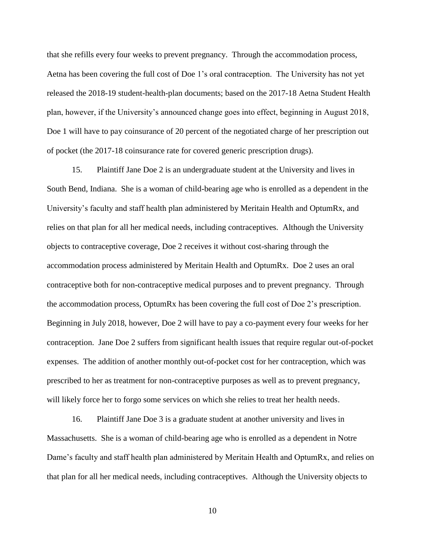that she refills every four weeks to prevent pregnancy. Through the accommodation process, Aetna has been covering the full cost of Doe 1's oral contraception. The University has not yet released the 2018-19 student-health-plan documents; based on the 2017-18 Aetna Student Health plan, however, if the University's announced change goes into effect, beginning in August 2018, Doe 1 will have to pay coinsurance of 20 percent of the negotiated charge of her prescription out of pocket (the 2017-18 coinsurance rate for covered generic prescription drugs).

15. Plaintiff Jane Doe 2 is an undergraduate student at the University and lives in South Bend, Indiana. She is a woman of child-bearing age who is enrolled as a dependent in the University's faculty and staff health plan administered by Meritain Health and OptumRx, and relies on that plan for all her medical needs, including contraceptives. Although the University objects to contraceptive coverage, Doe 2 receives it without cost-sharing through the accommodation process administered by Meritain Health and OptumRx. Doe 2 uses an oral contraceptive both for non-contraceptive medical purposes and to prevent pregnancy. Through the accommodation process, OptumRx has been covering the full cost of Doe 2's prescription. Beginning in July 2018, however, Doe 2 will have to pay a co-payment every four weeks for her contraception. Jane Doe 2 suffers from significant health issues that require regular out-of-pocket expenses. The addition of another monthly out-of-pocket cost for her contraception, which was prescribed to her as treatment for non-contraceptive purposes as well as to prevent pregnancy, will likely force her to forgo some services on which she relies to treat her health needs.

16. Plaintiff Jane Doe 3 is a graduate student at another university and lives in Massachusetts. She is a woman of child-bearing age who is enrolled as a dependent in Notre Dame's faculty and staff health plan administered by Meritain Health and OptumRx, and relies on that plan for all her medical needs, including contraceptives. Although the University objects to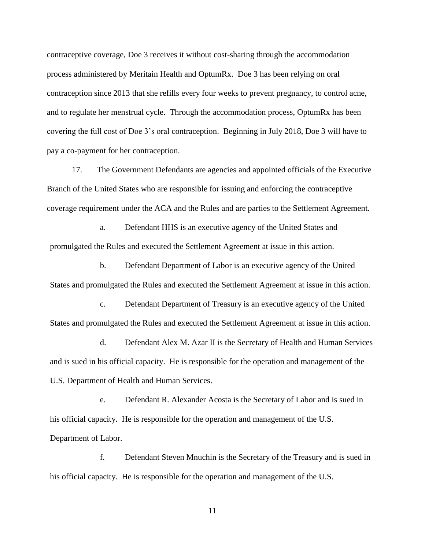contraceptive coverage, Doe 3 receives it without cost-sharing through the accommodation process administered by Meritain Health and OptumRx. Doe 3 has been relying on oral contraception since 2013 that she refills every four weeks to prevent pregnancy, to control acne, and to regulate her menstrual cycle. Through the accommodation process, OptumRx has been covering the full cost of Doe 3's oral contraception. Beginning in July 2018, Doe 3 will have to pay a co-payment for her contraception.

17. The Government Defendants are agencies and appointed officials of the Executive Branch of the United States who are responsible for issuing and enforcing the contraceptive coverage requirement under the ACA and the Rules and are parties to the Settlement Agreement.

a. Defendant HHS is an executive agency of the United States and promulgated the Rules and executed the Settlement Agreement at issue in this action.

b. Defendant Department of Labor is an executive agency of the United States and promulgated the Rules and executed the Settlement Agreement at issue in this action.

c. Defendant Department of Treasury is an executive agency of the United States and promulgated the Rules and executed the Settlement Agreement at issue in this action.

d. Defendant Alex M. Azar II is the Secretary of Health and Human Services and is sued in his official capacity. He is responsible for the operation and management of the U.S. Department of Health and Human Services.

e. Defendant R. Alexander Acosta is the Secretary of Labor and is sued in his official capacity. He is responsible for the operation and management of the U.S. Department of Labor.

f. Defendant Steven Mnuchin is the Secretary of the Treasury and is sued in his official capacity. He is responsible for the operation and management of the U.S.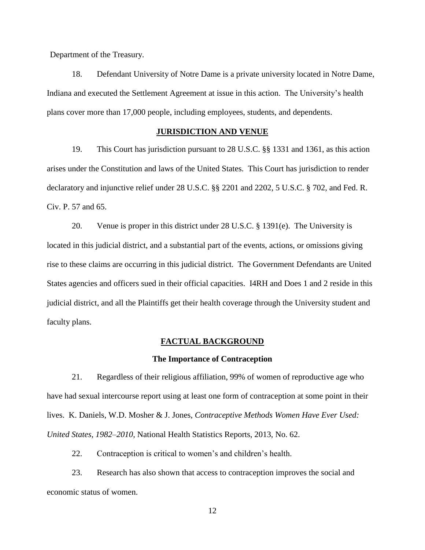Department of the Treasury.

18. Defendant University of Notre Dame is a private university located in Notre Dame, Indiana and executed the Settlement Agreement at issue in this action. The University's health plans cover more than 17,000 people, including employees, students, and dependents.

## **JURISDICTION AND VENUE**

19. This Court has jurisdiction pursuant to 28 U.S.C. §§ 1331 and 1361, as this action arises under the Constitution and laws of the United States. This Court has jurisdiction to render declaratory and injunctive relief under 28 U.S.C. §§ 2201 and 2202, 5 U.S.C. § 702, and Fed. R. Civ. P. 57 and 65.

20. Venue is proper in this district under 28 U.S.C. § 1391(e). The University is located in this judicial district, and a substantial part of the events, actions, or omissions giving rise to these claims are occurring in this judicial district. The Government Defendants are United States agencies and officers sued in their official capacities. I4RH and Does 1 and 2 reside in this judicial district, and all the Plaintiffs get their health coverage through the University student and faculty plans.

### **FACTUAL BACKGROUND**

### **The Importance of Contraception**

21. Regardless of their religious affiliation, 99% of women of reproductive age who have had sexual intercourse report using at least one form of contraception at some point in their lives. K. Daniels, W.D. Mosher & J. Jones, *Contraceptive Methods Women Have Ever Used: United States, 1982–2010*, National Health Statistics Reports, 2013, No. 62.

22. Contraception is critical to women's and children's health.

23. Research has also shown that access to contraception improves the social and economic status of women.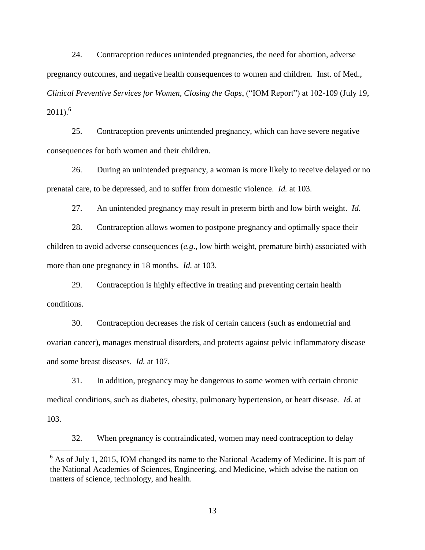24. Contraception reduces unintended pregnancies, the need for abortion, adverse pregnancy outcomes, and negative health consequences to women and children. Inst. of Med., *Clinical Preventive Services for Women, Closing the Gaps*, ("IOM Report") at 102-109 (July 19,  $2011$ ).<sup>6</sup>

25. Contraception prevents unintended pregnancy, which can have severe negative consequences for both women and their children.

26. During an unintended pregnancy, a woman is more likely to receive delayed or no prenatal care, to be depressed, and to suffer from domestic violence. *Id.* at 103.

27. An unintended pregnancy may result in preterm birth and low birth weight. *Id.*

28. Contraception allows women to postpone pregnancy and optimally space their children to avoid adverse consequences (*e.g*., low birth weight, premature birth) associated with more than one pregnancy in 18 months. *Id.* at 103.

29. Contraception is highly effective in treating and preventing certain health conditions.

30. Contraception decreases the risk of certain cancers (such as endometrial and ovarian cancer), manages menstrual disorders, and protects against pelvic inflammatory disease and some breast diseases. *Id.* at 107.

31. In addition, pregnancy may be dangerous to some women with certain chronic medical conditions, such as diabetes, obesity, pulmonary hypertension, or heart disease. *Id.* at 103.

32. When pregnancy is contraindicated, women may need contraception to delay

 $\overline{a}$ 

<sup>&</sup>lt;sup>6</sup> As of July 1, 2015, IOM changed its name to the National Academy of Medicine. It is part of the National Academies of Sciences, Engineering, and Medicine, which advise the nation on matters of science, technology, and health.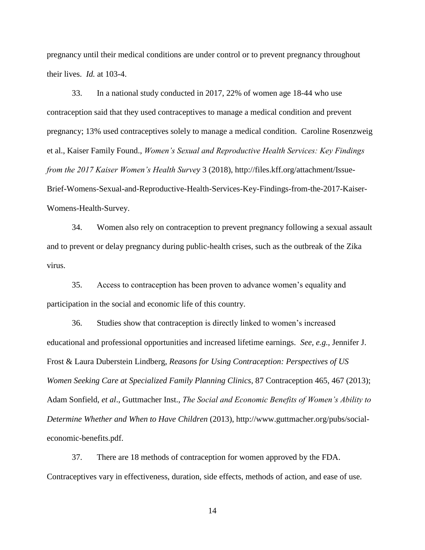pregnancy until their medical conditions are under control or to prevent pregnancy throughout their lives. *Id.* at 103-4.

33. In a national study conducted in 2017, 22% of women age 18-44 who use contraception said that they used contraceptives to manage a medical condition and prevent pregnancy; 13% used contraceptives solely to manage a medical condition. Caroline Rosenzweig et al., Kaiser Family Found., *Women's Sexual and Reproductive Health Services: Key Findings from the 2017 Kaiser Women's Health Survey* 3 (2018), http://files.kff.org/attachment/Issue-Brief-Womens-Sexual-and-Reproductive-Health-Services-Key-Findings-from-the-2017-Kaiser-Womens-Health-Survey.

34. Women also rely on contraception to prevent pregnancy following a sexual assault and to prevent or delay pregnancy during public-health crises, such as the outbreak of the Zika virus.

35. Access to contraception has been proven to advance women's equality and participation in the social and economic life of this country.

36. Studies show that contraception is directly linked to women's increased educational and professional opportunities and increased lifetime earnings. *See, e.g.,* Jennifer J. Frost & Laura Duberstein Lindberg, *Reasons for Using Contraception: Perspectives of US Women Seeking Care at Specialized Family Planning Clinics*, 87 Contraception 465, 467 (2013); Adam Sonfield, *et al*., Guttmacher Inst., *The Social and Economic Benefits of Women's Ability to Determine Whether and When to Have Children* (2013), http://www.guttmacher.org/pubs/socialeconomic-benefits.pdf.

37. There are 18 methods of contraception for women approved by the FDA. Contraceptives vary in effectiveness, duration, side effects, methods of action, and ease of use.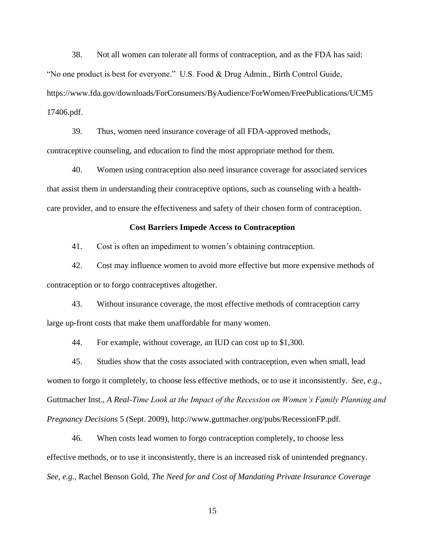38. Not all women can tolerate all forms of contraception, and as the FDA has said: "No one product is best for everyone." U.S. Food & Drug Admin., Birth Control Guide, https://www.fda.gov/downloads/ForConsumers/ByAudience/ForWomen/FreePublications/UCM5 17406.pdf.

39. Thus, women need insurance coverage of all FDA-approved methods, contraceptive counseling, and education to find the most appropriate method for them.

40. Women using contraception also need insurance coverage for associated services that assist them in understanding their contraceptive options, such as counseling with a healthcare provider, and to ensure the effectiveness and safety of their chosen form of contraception.

### **Cost Barriers Impede Access to Contraception**

41. Cost is often an impediment to women's obtaining contraception.

42. Cost may influence women to avoid more effective but more expensive methods of contraception or to forgo contraceptives altogether.

43. Without insurance coverage, the most effective methods of contraception carry large up-front costs that make them unaffordable for many women.

44. For example, without coverage, an IUD can cost up to \$1,300.

45. Studies show that the costs associated with contraception, even when small, lead women to forgo it completely, to choose less effective methods, or to use it inconsistently. *See, e.g.*, Guttmacher Inst., *A Real-Time Look at the Impact of the Recession on Women's Family Planning and Pregnancy Decisions* 5 (Sept. 2009), http://www.guttmacher.org/pubs/RecessionFP.pdf.

46. When costs lead women to forgo contraception completely, to choose less effective methods, or to use it inconsistently, there is an increased risk of unintended pregnancy. *See, e.g.*, Rachel Benson Gold, *The Need for and Cost of Mandating Private Insurance Coverage*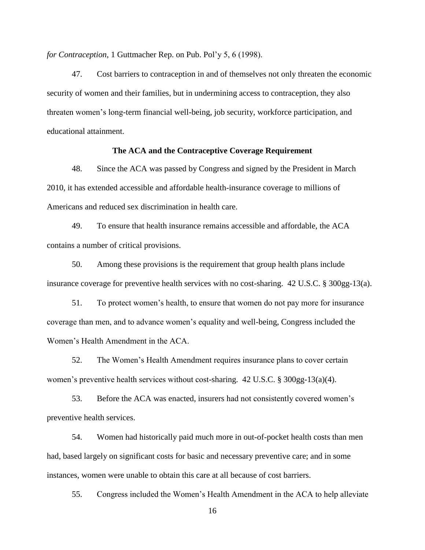*for Contraception*, 1 Guttmacher Rep. on Pub. Pol'y 5, 6 (1998).

47. Cost barriers to contraception in and of themselves not only threaten the economic security of women and their families, but in undermining access to contraception, they also threaten women's long-term financial well-being, job security, workforce participation, and educational attainment.

### **The ACA and the Contraceptive Coverage Requirement**

48. Since the ACA was passed by Congress and signed by the President in March 2010, it has extended accessible and affordable health-insurance coverage to millions of Americans and reduced sex discrimination in health care.

49. To ensure that health insurance remains accessible and affordable, the ACA contains a number of critical provisions.

50. Among these provisions is the requirement that group health plans include insurance coverage for preventive health services with no cost-sharing. 42 U.S.C. § 300gg-13(a).

51. To protect women's health, to ensure that women do not pay more for insurance coverage than men, and to advance women's equality and well-being, Congress included the Women's Health Amendment in the ACA.

52. The Women's Health Amendment requires insurance plans to cover certain women's preventive health services without cost-sharing. 42 U.S.C. § 300gg-13(a)(4).

53. Before the ACA was enacted, insurers had not consistently covered women's preventive health services.

54. Women had historically paid much more in out-of-pocket health costs than men had, based largely on significant costs for basic and necessary preventive care; and in some instances, women were unable to obtain this care at all because of cost barriers.

55. Congress included the Women's Health Amendment in the ACA to help alleviate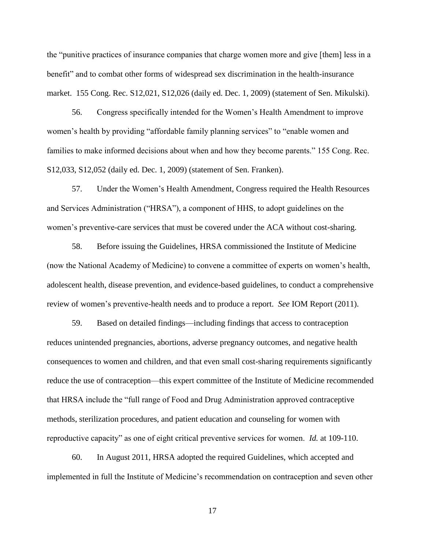the "punitive practices of insurance companies that charge women more and give [them] less in a benefit" and to combat other forms of widespread sex discrimination in the health-insurance market. 155 Cong. Rec. S12,021, S12,026 (daily ed. Dec. 1, 2009) (statement of Sen. Mikulski).

56. Congress specifically intended for the Women's Health Amendment to improve women's health by providing "affordable family planning services" to "enable women and families to make informed decisions about when and how they become parents." 155 Cong. Rec. S12,033, S12,052 (daily ed. Dec. 1, 2009) (statement of Sen. Franken).

57. Under the Women's Health Amendment, Congress required the Health Resources and Services Administration ("HRSA"), a component of HHS, to adopt guidelines on the women's preventive-care services that must be covered under the ACA without cost-sharing.

58. Before issuing the Guidelines, HRSA commissioned the Institute of Medicine (now the National Academy of Medicine) to convene a committee of experts on women's health, adolescent health, disease prevention, and evidence-based guidelines, to conduct a comprehensive review of women's preventive-health needs and to produce a report. *See* IOM Report (2011).

59. Based on detailed findings—including findings that access to contraception reduces unintended pregnancies, abortions, adverse pregnancy outcomes, and negative health consequences to women and children, and that even small cost-sharing requirements significantly reduce the use of contraception—this expert committee of the Institute of Medicine recommended that HRSA include the "full range of Food and Drug Administration approved contraceptive methods, sterilization procedures, and patient education and counseling for women with reproductive capacity" as one of eight critical preventive services for women. *Id.* at 109-110.

60. In August 2011, HRSA adopted the required Guidelines, which accepted and implemented in full the Institute of Medicine's recommendation on contraception and seven other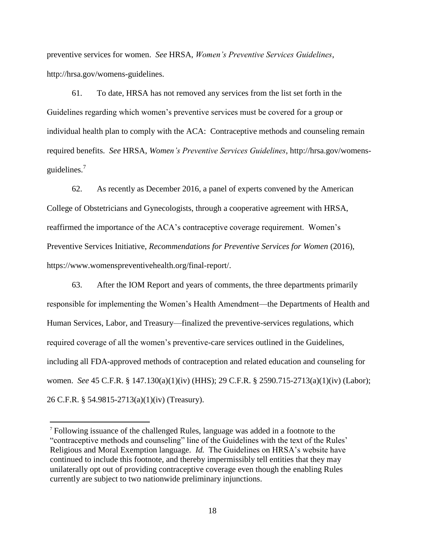preventive services for women. *See* HRSA, *Women's Preventive Services Guidelines*, http://hrsa.gov/womens-guidelines.

61. To date, HRSA has not removed any services from the list set forth in the Guidelines regarding which women's preventive services must be covered for a group or individual health plan to comply with the ACA: Contraceptive methods and counseling remain required benefits. *See* HRSA, *Women's Preventive Services Guidelines*, http://hrsa.gov/womensguidelines. $<sup>7</sup>$ </sup>

62. As recently as December 2016, a panel of experts convened by the American College of Obstetricians and Gynecologists, through a cooperative agreement with HRSA, reaffirmed the importance of the ACA's contraceptive coverage requirement. Women's Preventive Services Initiative, *Recommendations for Preventive Services for Women* (2016), https://www.womenspreventivehealth.org/final-report/.

63. After the IOM Report and years of comments, the three departments primarily responsible for implementing the Women's Health Amendment—the Departments of Health and Human Services, Labor, and Treasury—finalized the preventive-services regulations, which required coverage of all the women's preventive-care services outlined in the Guidelines, including all FDA-approved methods of contraception and related education and counseling for women. *See* 45 C.F.R. § 147.130(a)(1)(iv) (HHS); 29 C.F.R. § 2590.715-2713(a)(1)(iv) (Labor); 26 C.F.R. § 54.9815-2713(a)(1)(iv) (Treasury).

 $\overline{a}$ 

<sup>7</sup> Following issuance of the challenged Rules, language was added in a footnote to the "contraceptive methods and counseling" line of the Guidelines with the text of the Rules' Religious and Moral Exemption language. *Id.* The Guidelines on HRSA's website have continued to include this footnote, and thereby impermissibly tell entities that they may unilaterally opt out of providing contraceptive coverage even though the enabling Rules currently are subject to two nationwide preliminary injunctions.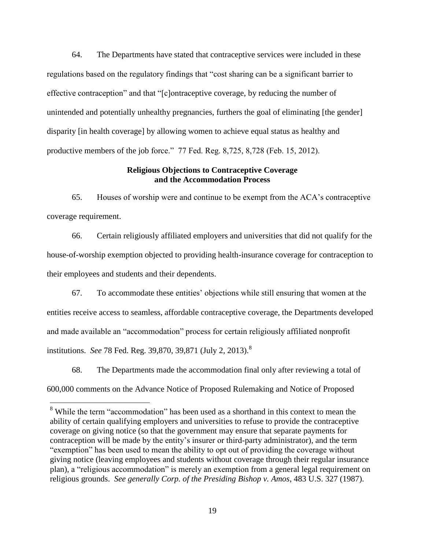64. The Departments have stated that contraceptive services were included in these regulations based on the regulatory findings that "cost sharing can be a significant barrier to effective contraception" and that "[c]ontraceptive coverage, by reducing the number of unintended and potentially unhealthy pregnancies, furthers the goal of eliminating [the gender] disparity [in health coverage] by allowing women to achieve equal status as healthy and productive members of the job force." 77 Fed. Reg. 8,725, 8,728 (Feb. 15, 2012).

## **Religious Objections to Contraceptive Coverage and the Accommodation Process**

65. Houses of worship were and continue to be exempt from the ACA's contraceptive coverage requirement.

66. Certain religiously affiliated employers and universities that did not qualify for the house-of-worship exemption objected to providing health-insurance coverage for contraception to their employees and students and their dependents.

67. To accommodate these entities' objections while still ensuring that women at the entities receive access to seamless, affordable contraceptive coverage, the Departments developed and made available an "accommodation" process for certain religiously affiliated nonprofit institutions. *See* 78 Fed. Reg. 39,870, 39,871 (July 2, 2013).<sup>8</sup>

68. The Departments made the accommodation final only after reviewing a total of 600,000 comments on the Advance Notice of Proposed Rulemaking and Notice of Proposed

 $\overline{a}$ 

<sup>&</sup>lt;sup>8</sup> While the term "accommodation" has been used as a shorthand in this context to mean the ability of certain qualifying employers and universities to refuse to provide the contraceptive coverage on giving notice (so that the government may ensure that separate payments for contraception will be made by the entity's insurer or third-party administrator), and the term "exemption" has been used to mean the ability to opt out of providing the coverage without giving notice (leaving employees and students without coverage through their regular insurance plan), a "religious accommodation" is merely an exemption from a general legal requirement on religious grounds. *See generally Corp. of the Presiding Bishop v. Amos*, 483 U.S. 327 (1987).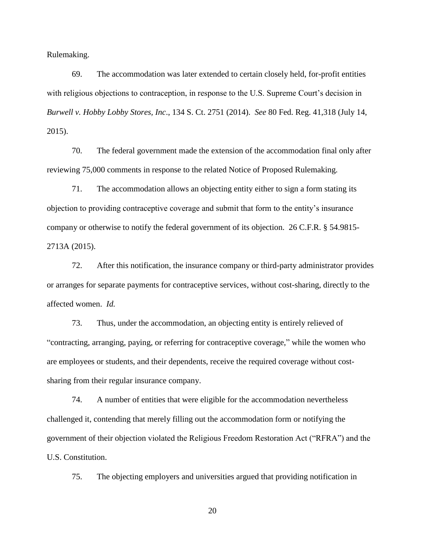Rulemaking.

69. The accommodation was later extended to certain closely held, for-profit entities with religious objections to contraception, in response to the U.S. Supreme Court's decision in *Burwell v. Hobby Lobby Stores, Inc*., 134 S. Ct. 2751 (2014). *See* 80 Fed. Reg. 41,318 (July 14, 2015).

70. The federal government made the extension of the accommodation final only after reviewing 75,000 comments in response to the related Notice of Proposed Rulemaking.

71. The accommodation allows an objecting entity either to sign a form stating its objection to providing contraceptive coverage and submit that form to the entity's insurance company or otherwise to notify the federal government of its objection. 26 C.F.R. § 54.9815- 2713A (2015).

72. After this notification, the insurance company or third-party administrator provides or arranges for separate payments for contraceptive services, without cost-sharing, directly to the affected women. *Id.*

73. Thus, under the accommodation, an objecting entity is entirely relieved of "contracting, arranging, paying, or referring for contraceptive coverage," while the women who are employees or students, and their dependents, receive the required coverage without costsharing from their regular insurance company.

74. A number of entities that were eligible for the accommodation nevertheless challenged it, contending that merely filling out the accommodation form or notifying the government of their objection violated the Religious Freedom Restoration Act ("RFRA") and the U.S. Constitution.

75. The objecting employers and universities argued that providing notification in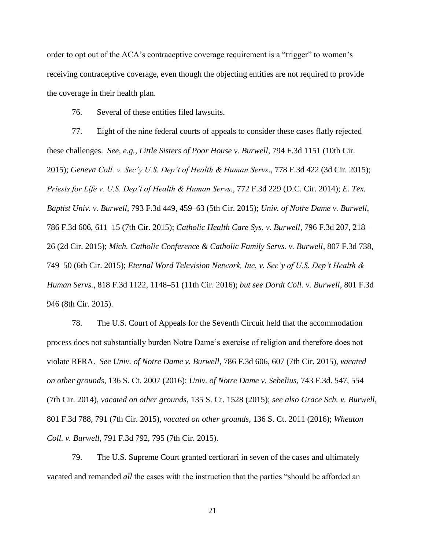order to opt out of the ACA's contraceptive coverage requirement is a "trigger" to women's receiving contraceptive coverage, even though the objecting entities are not required to provide the coverage in their health plan.

76. Several of these entities filed lawsuits.

77. Eight of the nine federal courts of appeals to consider these cases flatly rejected these challenges. *See, e.g., Little Sisters of Poor House v. Burwell*, 794 F.3d 1151 (10th Cir. 2015); *Geneva Coll. v. Sec'y U.S. Dep't of Health & Human Servs*., 778 F.3d 422 (3d Cir. 2015); *Priests for Life v. U.S. Dep't of Health & Human Servs*., 772 F.3d 229 (D.C. Cir. 2014); *E. Tex. Baptist Univ. v. Burwell*, 793 F.3d 449, 459–63 (5th Cir. 2015); *Univ. of Notre Dame v. Burwell*, 786 F.3d 606, 611–15 (7th Cir. 2015); *Catholic Health Care Sys. v. Burwell*, 796 F.3d 207, 218– 26 (2d Cir. 2015); *Mich. Catholic Conference & Catholic Family Servs. v. Burwell*, 807 F.3d 738, 749–50 (6th Cir. 2015); *Eternal Word Television Network, Inc. v. Sec'y of U.S. Dep't Health & Human Servs.*, 818 F.3d 1122, 1148–51 (11th Cir. 2016); *but see Dordt Coll. v. Burwell*, 801 F.3d 946 (8th Cir. 2015).

78. The U.S. Court of Appeals for the Seventh Circuit held that the accommodation process does not substantially burden Notre Dame's exercise of religion and therefore does not violate RFRA. *See Univ. of Notre Dame v. Burwell*, 786 F.3d 606, 607 (7th Cir. 2015), *vacated on other grounds*, 136 S. Ct. 2007 (2016); *Univ. of Notre Dame v. Sebelius*, 743 F.3d. 547, 554 (7th Cir. 2014), *vacated on other grounds*, 135 S. Ct. 1528 (2015); *see also Grace Sch. v. Burwell*, 801 F.3d 788, 791 (7th Cir. 2015), *vacated on other grounds*, 136 S. Ct. 2011 (2016); *Wheaton Coll. v. Burwell*, 791 F.3d 792, 795 (7th Cir. 2015).

79. The U.S. Supreme Court granted certiorari in seven of the cases and ultimately vacated and remanded *all* the cases with the instruction that the parties "should be afforded an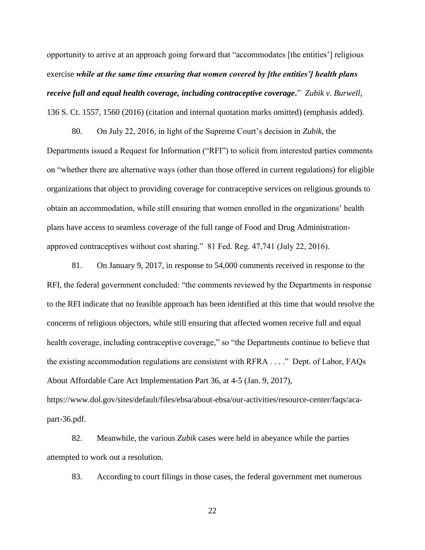opportunity to arrive at an approach going forward that "accommodates [the entities'] religious exercise *while at the same time ensuring that women covered by [the entities'] health plans receive full and equal health coverage, including contraceptive coverage***.**" *Zubik v. Burwell*, 136 S. Ct. 1557, 1560 (2016) (citation and internal quotation marks omitted) (emphasis added).

80. On July 22, 2016, in light of the Supreme Court's decision in *Zubik*, the Departments issued a Request for Information ("RFI") to solicit from interested parties comments on "whether there are alternative ways (other than those offered in current regulations) for eligible organizations that object to providing coverage for contraceptive services on religious grounds to obtain an accommodation, while still ensuring that women enrolled in the organizations' health plans have access to seamless coverage of the full range of Food and Drug Administrationapproved contraceptives without cost sharing." 81 Fed. Reg. 47,741 (July 22, 2016).

81. On January 9, 2017, in response to 54,000 comments received in response to the RFI, the federal government concluded: "the comments reviewed by the Departments in response to the RFI indicate that no feasible approach has been identified at this time that would resolve the concerns of religious objectors, while still ensuring that affected women receive full and equal health coverage, including contraceptive coverage," so "the Departments continue to believe that the existing accommodation regulations are consistent with RFRA . . . ." Dept. of Labor, FAQs About Affordable Care Act Implementation Part 36, at 4-5 (Jan. 9, 2017), https://www.dol.gov/sites/default/files/ebsa/about-ebsa/our-activities/resource-center/faqs/aca-

part-36.pdf.

82. Meanwhile, the various *Zubik* cases were held in abeyance while the parties attempted to work out a resolution.

83. According to court filings in those cases, the federal government met numerous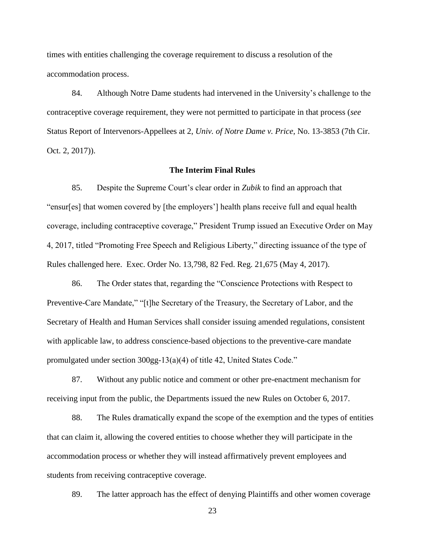times with entities challenging the coverage requirement to discuss a resolution of the accommodation process.

84. Although Notre Dame students had intervened in the University's challenge to the contraceptive coverage requirement, they were not permitted to participate in that process (*see*  Status Report of Intervenors-Appellees at 2, *Univ. of Notre Dame v. Price*, No. 13-3853 (7th Cir. Oct. 2, 2017)).

## **The Interim Final Rules**

85. Despite the Supreme Court's clear order in *Zubik* to find an approach that "ensur[es] that women covered by [the employers'] health plans receive full and equal health coverage, including contraceptive coverage," President Trump issued an Executive Order on May 4, 2017, titled "Promoting Free Speech and Religious Liberty," directing issuance of the type of Rules challenged here. Exec. Order No. 13,798, 82 Fed. Reg. 21,675 (May 4, 2017).

86. The Order states that, regarding the "Conscience Protections with Respect to Preventive-Care Mandate," "[t]he Secretary of the Treasury, the Secretary of Labor, and the Secretary of Health and Human Services shall consider issuing amended regulations, consistent with applicable law, to address conscience-based objections to the preventive-care mandate promulgated under section 300gg-13(a)(4) of title 42, United States Code."

87. Without any public notice and comment or other pre-enactment mechanism for receiving input from the public, the Departments issued the new Rules on October 6, 2017.

88. The Rules dramatically expand the scope of the exemption and the types of entities that can claim it, allowing the covered entities to choose whether they will participate in the accommodation process or whether they will instead affirmatively prevent employees and students from receiving contraceptive coverage.

89. The latter approach has the effect of denying Plaintiffs and other women coverage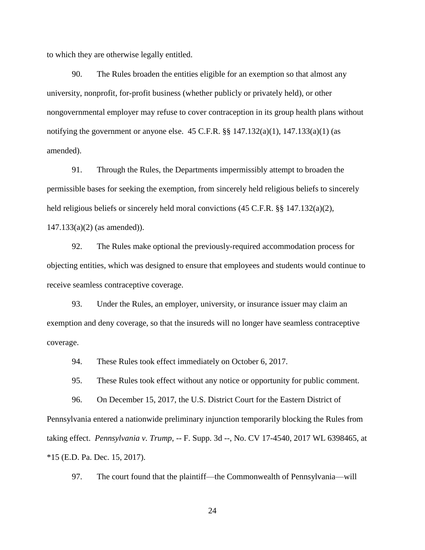to which they are otherwise legally entitled.

90. The Rules broaden the entities eligible for an exemption so that almost any university, nonprofit, for-profit business (whether publicly or privately held), or other nongovernmental employer may refuse to cover contraception in its group health plans without notifying the government or anyone else.  $45$  C.F.R.  $\S$  $\S$   $147.132(a)(1)$ ,  $147.133(a)(1)$  (as amended).

91. Through the Rules, the Departments impermissibly attempt to broaden the permissible bases for seeking the exemption, from sincerely held religious beliefs to sincerely held religious beliefs or sincerely held moral convictions (45 C.F.R. §§ 147.132(a)(2), 147.133(a)(2) (as amended)).

92. The Rules make optional the previously-required accommodation process for objecting entities, which was designed to ensure that employees and students would continue to receive seamless contraceptive coverage.

93. Under the Rules, an employer, university, or insurance issuer may claim an exemption and deny coverage, so that the insureds will no longer have seamless contraceptive coverage.

94. These Rules took effect immediately on October 6, 2017.

95. These Rules took effect without any notice or opportunity for public comment.

96. On December 15, 2017, the U.S. District Court for the Eastern District of Pennsylvania entered a nationwide preliminary injunction temporarily blocking the Rules from taking effect. *Pennsylvania v. Trump*, -- F. Supp. 3d --, No. CV 17-4540, 2017 WL 6398465, at \*15 (E.D. Pa. Dec. 15, 2017).

97. The court found that the plaintiff—the Commonwealth of Pennsylvania—will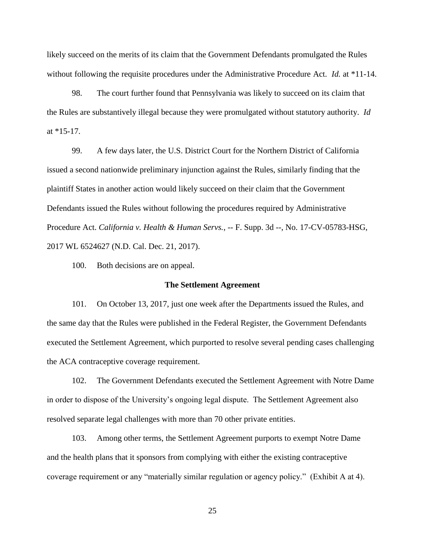likely succeed on the merits of its claim that the Government Defendants promulgated the Rules without following the requisite procedures under the Administrative Procedure Act. *Id.* at \*11-14.

98. The court further found that Pennsylvania was likely to succeed on its claim that the Rules are substantively illegal because they were promulgated without statutory authority. *Id*  at \*15-17.

99. A few days later, the U.S. District Court for the Northern District of California issued a second nationwide preliminary injunction against the Rules, similarly finding that the plaintiff States in another action would likely succeed on their claim that the Government Defendants issued the Rules without following the procedures required by Administrative Procedure Act. *California v. Health & Human Servs.*, -- F. Supp. 3d --, No. 17-CV-05783-HSG, 2017 WL 6524627 (N.D. Cal. Dec. 21, 2017).

100. Both decisions are on appeal.

### **The Settlement Agreement**

101. On October 13, 2017, just one week after the Departments issued the Rules, and the same day that the Rules were published in the Federal Register, the Government Defendants executed the Settlement Agreement, which purported to resolve several pending cases challenging the ACA contraceptive coverage requirement.

102. The Government Defendants executed the Settlement Agreement with Notre Dame in order to dispose of the University's ongoing legal dispute. The Settlement Agreement also resolved separate legal challenges with more than 70 other private entities.

103. Among other terms, the Settlement Agreement purports to exempt Notre Dame and the health plans that it sponsors from complying with either the existing contraceptive coverage requirement or any "materially similar regulation or agency policy." (Exhibit A at 4).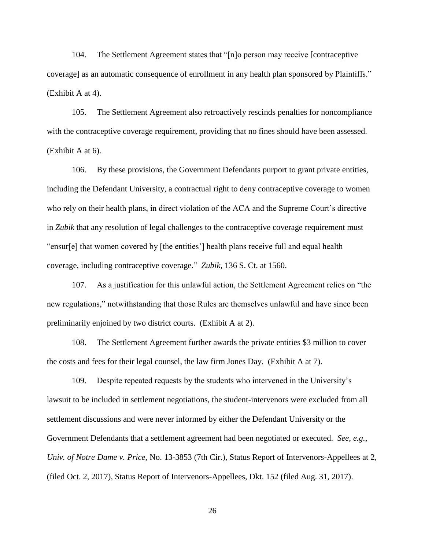104. The Settlement Agreement states that "[n]o person may receive [contraceptive coverage] as an automatic consequence of enrollment in any health plan sponsored by Plaintiffs." (Exhibit A at 4).

105. The Settlement Agreement also retroactively rescinds penalties for noncompliance with the contraceptive coverage requirement, providing that no fines should have been assessed. (Exhibit A at 6).

106. By these provisions, the Government Defendants purport to grant private entities, including the Defendant University, a contractual right to deny contraceptive coverage to women who rely on their health plans, in direct violation of the ACA and the Supreme Court's directive in *Zubik* that any resolution of legal challenges to the contraceptive coverage requirement must "ensur[e] that women covered by [the entities'] health plans receive full and equal health coverage, including contraceptive coverage." *Zubik*, 136 S. Ct. at 1560.

107. As a justification for this unlawful action, the Settlement Agreement relies on "the new regulations," notwithstanding that those Rules are themselves unlawful and have since been preliminarily enjoined by two district courts. (Exhibit A at 2).

108. The Settlement Agreement further awards the private entities \$3 million to cover the costs and fees for their legal counsel, the law firm Jones Day. (Exhibit A at 7).

109. Despite repeated requests by the students who intervened in the University's lawsuit to be included in settlement negotiations, the student-intervenors were excluded from all settlement discussions and were never informed by either the Defendant University or the Government Defendants that a settlement agreement had been negotiated or executed. *See, e.g.*, *Univ. of Notre Dame v. Price*, No. 13-3853 (7th Cir.), Status Report of Intervenors-Appellees at 2, (filed Oct. 2, 2017), Status Report of Intervenors-Appellees, Dkt. 152 (filed Aug. 31, 2017).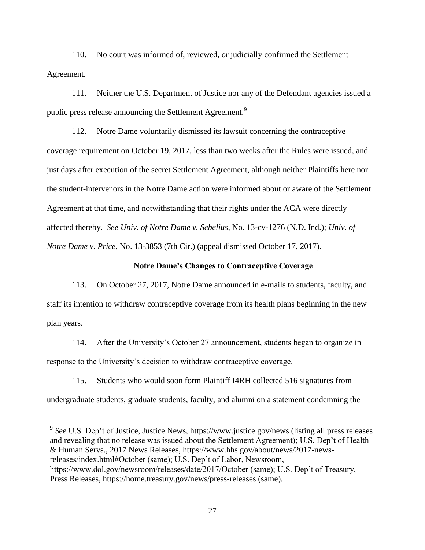110. No court was informed of, reviewed, or judicially confirmed the Settlement Agreement.

111. Neither the U.S. Department of Justice nor any of the Defendant agencies issued a public press release announcing the Settlement Agreement.<sup>9</sup>

112. Notre Dame voluntarily dismissed its lawsuit concerning the contraceptive coverage requirement on October 19, 2017, less than two weeks after the Rules were issued, and just days after execution of the secret Settlement Agreement, although neither Plaintiffs here nor the student-intervenors in the Notre Dame action were informed about or aware of the Settlement Agreement at that time, and notwithstanding that their rights under the ACA were directly affected thereby. *See Univ. of Notre Dame v. Sebelius*, No. 13-cv-1276 (N.D. Ind.); *Univ. of Notre Dame v. Price*, No. 13-3853 (7th Cir.) (appeal dismissed October 17, 2017).

## **Notre Dame's Changes to Contraceptive Coverage**

113. On October 27, 2017, Notre Dame announced in e-mails to students, faculty, and staff its intention to withdraw contraceptive coverage from its health plans beginning in the new plan years.

114. After the University's October 27 announcement, students began to organize in response to the University's decision to withdraw contraceptive coverage.

115. Students who would soon form Plaintiff I4RH collected 516 signatures from undergraduate students, graduate students, faculty, and alumni on a statement condemning the

<sup>9</sup> See U.S. Dep't of Justice, Justice News, https://www.justice.gov/news (listing all press releases and revealing that no release was issued about the Settlement Agreement); U.S. Dep't of Health & Human Servs., 2017 News Releases, https://www.hhs.gov/about/news/2017-newsreleases/index.html#October (same); U.S. Dep't of Labor, Newsroom, https://www.dol.gov/newsroom/releases/date/2017/October (same); U.S. Dep't of Treasury, Press Releases, https://home.treasury.gov/news/press-releases (same).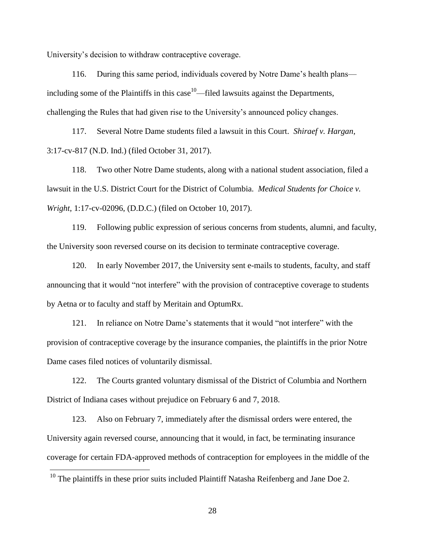University's decision to withdraw contraceptive coverage.

116. During this same period, individuals covered by Notre Dame's health plans including some of the Plaintiffs in this case<sup>10</sup>—filed lawsuits against the Departments, challenging the Rules that had given rise to the University's announced policy changes.

117. Several Notre Dame students filed a lawsuit in this Court. *Shiraef v. Hargan*, 3:17-cv-817 (N.D. Ind.) (filed October 31, 2017).

118. Two other Notre Dame students, along with a national student association, filed a lawsuit in the U.S. District Court for the District of Columbia. *Medical Students for Choice v. Wright*, 1:17-cv-02096, (D.D.C.) (filed on October 10, 2017).

119. Following public expression of serious concerns from students, alumni, and faculty, the University soon reversed course on its decision to terminate contraceptive coverage.

120. In early November 2017, the University sent e-mails to students, faculty, and staff announcing that it would "not interfere" with the provision of contraceptive coverage to students by Aetna or to faculty and staff by Meritain and OptumRx.

121. In reliance on Notre Dame's statements that it would "not interfere" with the provision of contraceptive coverage by the insurance companies, the plaintiffs in the prior Notre Dame cases filed notices of voluntarily dismissal.

122. The Courts granted voluntary dismissal of the District of Columbia and Northern District of Indiana cases without prejudice on February 6 and 7, 2018.

123. Also on February 7, immediately after the dismissal orders were entered, the University again reversed course, announcing that it would, in fact, be terminating insurance coverage for certain FDA-approved methods of contraception for employees in the middle of the

 $\overline{a}$ 

 $10$  The plaintiffs in these prior suits included Plaintiff Natasha Reifenberg and Jane Doe 2.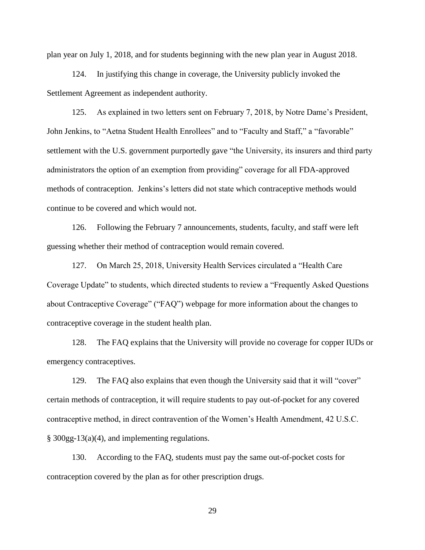plan year on July 1, 2018, and for students beginning with the new plan year in August 2018.

124. In justifying this change in coverage, the University publicly invoked the Settlement Agreement as independent authority.

125. As explained in two letters sent on February 7, 2018, by Notre Dame's President, John Jenkins, to "Aetna Student Health Enrollees" and to "Faculty and Staff," a "favorable" settlement with the U.S. government purportedly gave "the University, its insurers and third party administrators the option of an exemption from providing" coverage for all FDA-approved methods of contraception. Jenkins's letters did not state which contraceptive methods would continue to be covered and which would not.

126. Following the February 7 announcements, students, faculty, and staff were left guessing whether their method of contraception would remain covered.

127. On March 25, 2018, University Health Services circulated a "Health Care Coverage Update" to students, which directed students to review a "Frequently Asked Questions about Contraceptive Coverage" ("FAQ") webpage for more information about the changes to contraceptive coverage in the student health plan.

128. The FAQ explains that the University will provide no coverage for copper IUDs or emergency contraceptives.

129. The FAQ also explains that even though the University said that it will "cover" certain methods of contraception, it will require students to pay out-of-pocket for any covered contraceptive method, in direct contravention of the Women's Health Amendment, 42 U.S.C. § 300gg-13(a)(4), and implementing regulations.

130. According to the FAQ, students must pay the same out-of-pocket costs for contraception covered by the plan as for other prescription drugs.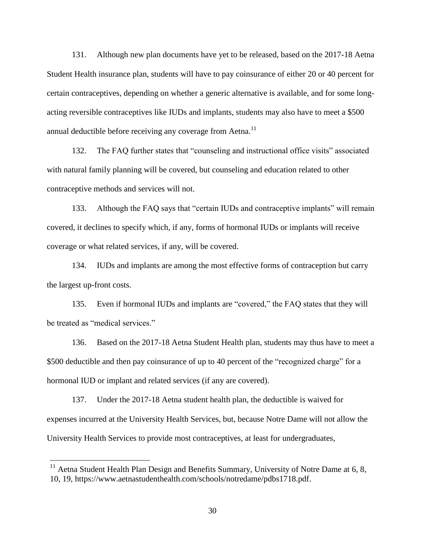131. Although new plan documents have yet to be released, based on the 2017-18 Aetna Student Health insurance plan, students will have to pay coinsurance of either 20 or 40 percent for certain contraceptives, depending on whether a generic alternative is available, and for some longacting reversible contraceptives like IUDs and implants, students may also have to meet a \$500 annual deductible before receiving any coverage from Aetna. $^{11}$ 

132. The FAQ further states that "counseling and instructional office visits" associated with natural family planning will be covered, but counseling and education related to other contraceptive methods and services will not.

133. Although the FAQ says that "certain IUDs and contraceptive implants" will remain covered, it declines to specify which, if any, forms of hormonal IUDs or implants will receive coverage or what related services, if any, will be covered.

134. IUDs and implants are among the most effective forms of contraception but carry the largest up-front costs.

135. Even if hormonal IUDs and implants are "covered," the FAQ states that they will be treated as "medical services."

136. Based on the 2017-18 Aetna Student Health plan, students may thus have to meet a \$500 deductible and then pay coinsurance of up to 40 percent of the "recognized charge" for a hormonal IUD or implant and related services (if any are covered).

137. Under the 2017-18 Aetna student health plan, the deductible is waived for expenses incurred at the University Health Services, but, because Notre Dame will not allow the University Health Services to provide most contraceptives, at least for undergraduates,

 $\overline{a}$ 

 $11$  Aetna Student Health Plan Design and Benefits Summary, University of Notre Dame at 6, 8, 10, 19, https://www.aetnastudenthealth.com/schools/notredame/pdbs1718.pdf.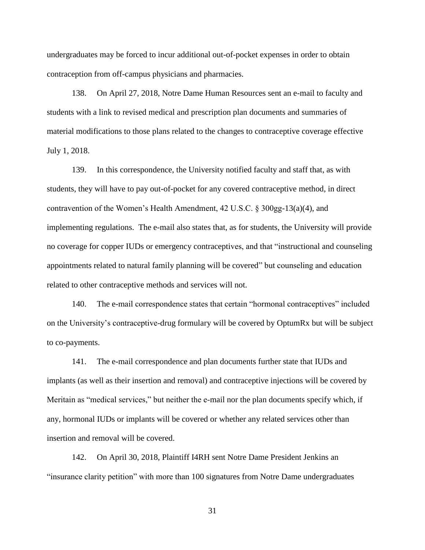undergraduates may be forced to incur additional out-of-pocket expenses in order to obtain contraception from off-campus physicians and pharmacies.

138. On April 27, 2018, Notre Dame Human Resources sent an e-mail to faculty and students with a link to revised medical and prescription plan documents and summaries of material modifications to those plans related to the changes to contraceptive coverage effective July 1, 2018.

139. In this correspondence, the University notified faculty and staff that, as with students, they will have to pay out-of-pocket for any covered contraceptive method, in direct contravention of the Women's Health Amendment, 42 U.S.C. § 300gg-13(a)(4), and implementing regulations. The e-mail also states that, as for students, the University will provide no coverage for copper IUDs or emergency contraceptives, and that "instructional and counseling appointments related to natural family planning will be covered" but counseling and education related to other contraceptive methods and services will not.

140. The e-mail correspondence states that certain "hormonal contraceptives" included on the University's contraceptive-drug formulary will be covered by OptumRx but will be subject to co-payments.

141. The e-mail correspondence and plan documents further state that IUDs and implants (as well as their insertion and removal) and contraceptive injections will be covered by Meritain as "medical services," but neither the e-mail nor the plan documents specify which, if any, hormonal IUDs or implants will be covered or whether any related services other than insertion and removal will be covered.

142. On April 30, 2018, Plaintiff I4RH sent Notre Dame President Jenkins an "insurance clarity petition" with more than 100 signatures from Notre Dame undergraduates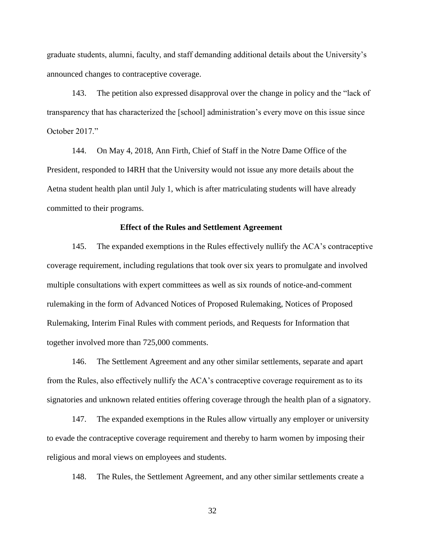graduate students, alumni, faculty, and staff demanding additional details about the University's announced changes to contraceptive coverage.

143. The petition also expressed disapproval over the change in policy and the "lack of transparency that has characterized the [school] administration's every move on this issue since October 2017."

144. On May 4, 2018, Ann Firth, Chief of Staff in the Notre Dame Office of the President, responded to I4RH that the University would not issue any more details about the Aetna student health plan until July 1, which is after matriculating students will have already committed to their programs.

## **Effect of the Rules and Settlement Agreement**

145. The expanded exemptions in the Rules effectively nullify the ACA's contraceptive coverage requirement, including regulations that took over six years to promulgate and involved multiple consultations with expert committees as well as six rounds of notice-and-comment rulemaking in the form of Advanced Notices of Proposed Rulemaking, Notices of Proposed Rulemaking, Interim Final Rules with comment periods, and Requests for Information that together involved more than 725,000 comments.

146. The Settlement Agreement and any other similar settlements, separate and apart from the Rules, also effectively nullify the ACA's contraceptive coverage requirement as to its signatories and unknown related entities offering coverage through the health plan of a signatory.

147. The expanded exemptions in the Rules allow virtually any employer or university to evade the contraceptive coverage requirement and thereby to harm women by imposing their religious and moral views on employees and students.

148. The Rules, the Settlement Agreement, and any other similar settlements create a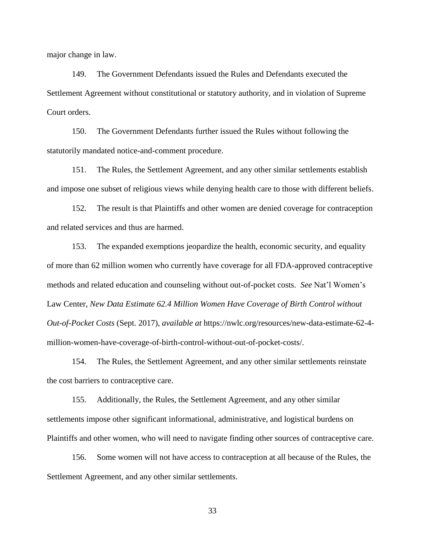major change in law.

149. The Government Defendants issued the Rules and Defendants executed the Settlement Agreement without constitutional or statutory authority, and in violation of Supreme Court orders.

150. The Government Defendants further issued the Rules without following the statutorily mandated notice-and-comment procedure.

151. The Rules, the Settlement Agreement, and any other similar settlements establish and impose one subset of religious views while denying health care to those with different beliefs.

152. The result is that Plaintiffs and other women are denied coverage for contraception and related services and thus are harmed.

153. The expanded exemptions jeopardize the health, economic security, and equality of more than 62 million women who currently have coverage for all FDA-approved contraceptive methods and related education and counseling without out-of-pocket costs. *See* Nat'l Women's Law Center, *New Data Estimate 62.4 Million Women Have Coverage of Birth Control without Out-of-Pocket Costs* (Sept. 2017), *available at* https://nwlc.org/resources/new-data-estimate-62-4 million-women-have-coverage-of-birth-control-without-out-of-pocket-costs/.

154. The Rules, the Settlement Agreement, and any other similar settlements reinstate the cost barriers to contraceptive care.

155. Additionally, the Rules, the Settlement Agreement, and any other similar settlements impose other significant informational, administrative, and logistical burdens on Plaintiffs and other women, who will need to navigate finding other sources of contraceptive care.

156. Some women will not have access to contraception at all because of the Rules, the Settlement Agreement, and any other similar settlements.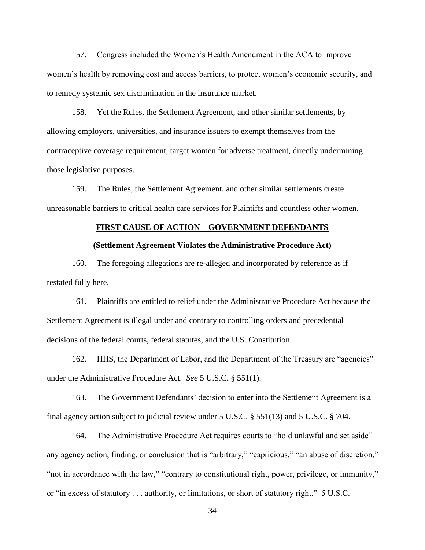157. Congress included the Women's Health Amendment in the ACA to improve women's health by removing cost and access barriers, to protect women's economic security, and to remedy systemic sex discrimination in the insurance market.

158. Yet the Rules, the Settlement Agreement, and other similar settlements, by allowing employers, universities, and insurance issuers to exempt themselves from the contraceptive coverage requirement, target women for adverse treatment, directly undermining those legislative purposes.

159. The Rules, the Settlement Agreement, and other similar settlements create unreasonable barriers to critical health care services for Plaintiffs and countless other women.

## **FIRST CAUSE OF ACTION—GOVERNMENT DEFENDANTS**

### **(Settlement Agreement Violates the Administrative Procedure Act)**

160. The foregoing allegations are re-alleged and incorporated by reference as if restated fully here.

161. Plaintiffs are entitled to relief under the Administrative Procedure Act because the Settlement Agreement is illegal under and contrary to controlling orders and precedential decisions of the federal courts, federal statutes, and the U.S. Constitution.

162. HHS, the Department of Labor, and the Department of the Treasury are "agencies" under the Administrative Procedure Act. *See* 5 U.S.C. § 551(1).

163. The Government Defendants' decision to enter into the Settlement Agreement is a final agency action subject to judicial review under 5 U.S.C. § 551(13) and 5 U.S.C. § 704.

164. The Administrative Procedure Act requires courts to "hold unlawful and set aside" any agency action, finding, or conclusion that is "arbitrary," "capricious," "an abuse of discretion," "not in accordance with the law," "contrary to constitutional right, power, privilege, or immunity," or "in excess of statutory . . . authority, or limitations, or short of statutory right." 5 U.S.C.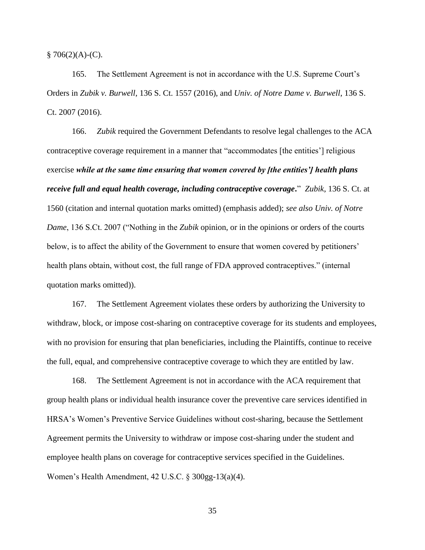$$706(2)(A)-(C).$ 

165. The Settlement Agreement is not in accordance with the U.S. Supreme Court's Orders in *Zubik v. Burwell*, 136 S. Ct. 1557 (2016), and *Univ. of Notre Dame v. Burwell*, 136 S. Ct. 2007 (2016).

166. *Zubik* required the Government Defendants to resolve legal challenges to the ACA contraceptive coverage requirement in a manner that "accommodates [the entities'] religious exercise *while at the same time ensuring that women covered by [the entities'] health plans receive full and equal health coverage, including contraceptive coverage***.**" *Zubik*, 136 S. Ct. at 1560 (citation and internal quotation marks omitted) (emphasis added); *see also Univ. of Notre Dame*, 136 S.Ct. 2007 ("Nothing in the *Zubik* opinion, or in the opinions or orders of the courts below, is to affect the ability of the Government to ensure that women covered by petitioners' health plans obtain, without cost, the full range of FDA approved contraceptives." (internal quotation marks omitted)).

167. The Settlement Agreement violates these orders by authorizing the University to withdraw, block, or impose cost-sharing on contraceptive coverage for its students and employees, with no provision for ensuring that plan beneficiaries, including the Plaintiffs, continue to receive the full, equal, and comprehensive contraceptive coverage to which they are entitled by law.

168. The Settlement Agreement is not in accordance with the ACA requirement that group health plans or individual health insurance cover the preventive care services identified in HRSA's Women's Preventive Service Guidelines without cost-sharing, because the Settlement Agreement permits the University to withdraw or impose cost-sharing under the student and employee health plans on coverage for contraceptive services specified in the Guidelines. Women's Health Amendment, 42 U.S.C. § 300gg-13(a)(4).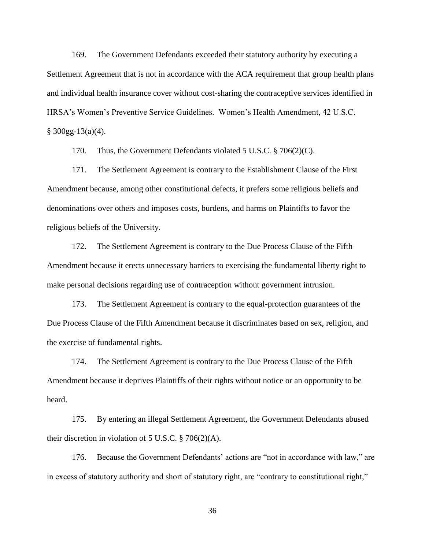169. The Government Defendants exceeded their statutory authority by executing a Settlement Agreement that is not in accordance with the ACA requirement that group health plans and individual health insurance cover without cost-sharing the contraceptive services identified in HRSA's Women's Preventive Service Guidelines. Women's Health Amendment, 42 U.S.C.  $§$  300gg-13(a)(4).

170. Thus, the Government Defendants violated 5 U.S.C. § 706(2)(C).

171. The Settlement Agreement is contrary to the Establishment Clause of the First Amendment because, among other constitutional defects, it prefers some religious beliefs and denominations over others and imposes costs, burdens, and harms on Plaintiffs to favor the religious beliefs of the University.

172. The Settlement Agreement is contrary to the Due Process Clause of the Fifth Amendment because it erects unnecessary barriers to exercising the fundamental liberty right to make personal decisions regarding use of contraception without government intrusion.

173. The Settlement Agreement is contrary to the equal-protection guarantees of the Due Process Clause of the Fifth Amendment because it discriminates based on sex, religion, and the exercise of fundamental rights.

174. The Settlement Agreement is contrary to the Due Process Clause of the Fifth Amendment because it deprives Plaintiffs of their rights without notice or an opportunity to be heard.

175. By entering an illegal Settlement Agreement, the Government Defendants abused their discretion in violation of 5 U.S.C.  $\S$  706(2)(A).

176. Because the Government Defendants' actions are "not in accordance with law," are in excess of statutory authority and short of statutory right, are "contrary to constitutional right,"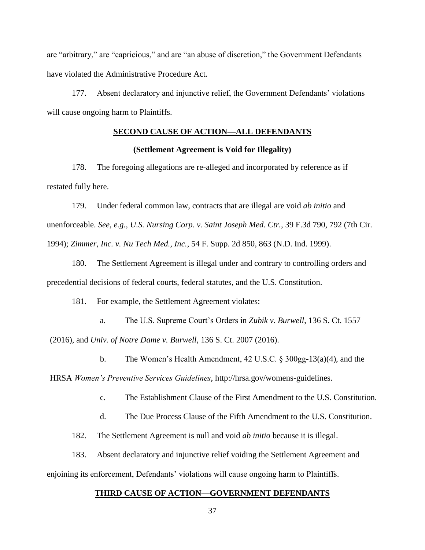are "arbitrary," are "capricious," and are "an abuse of discretion," the Government Defendants have violated the Administrative Procedure Act.

177. Absent declaratory and injunctive relief, the Government Defendants' violations will cause ongoing harm to Plaintiffs.

# **SECOND CAUSE OF ACTION—ALL DEFENDANTS**

### **(Settlement Agreement is Void for Illegality)**

178. The foregoing allegations are re-alleged and incorporated by reference as if restated fully here.

179. Under federal common law, contracts that are illegal are void *ab initio* and unenforceable. *See, e.g.*, *U.S. Nursing Corp. v. Saint Joseph Med. Ctr.*, 39 F.3d 790, 792 (7th Cir. 1994); *Zimmer, Inc. v. Nu Tech Med., Inc.*, 54 F. Supp. 2d 850, 863 (N.D. Ind. 1999).

180. The Settlement Agreement is illegal under and contrary to controlling orders and precedential decisions of federal courts, federal statutes, and the U.S. Constitution.

181. For example, the Settlement Agreement violates:

a. The U.S. Supreme Court's Orders in *Zubik v. Burwell*, 136 S. Ct. 1557 (2016), and *Univ. of Notre Dame v. Burwell*, 136 S. Ct. 2007 (2016).

b. The Women's Health Amendment, 42 U.S.C. § 300gg-13(a)(4), and the

HRSA *Women's Preventive Services Guidelines*, http://hrsa.gov/womens-guidelines.

c. The Establishment Clause of the First Amendment to the U.S. Constitution.

d. The Due Process Clause of the Fifth Amendment to the U.S. Constitution.

182. The Settlement Agreement is null and void *ab initio* because it is illegal.

183. Absent declaratory and injunctive relief voiding the Settlement Agreement and

enjoining its enforcement, Defendants' violations will cause ongoing harm to Plaintiffs.

### **THIRD CAUSE OF ACTION—GOVERNMENT DEFENDANTS**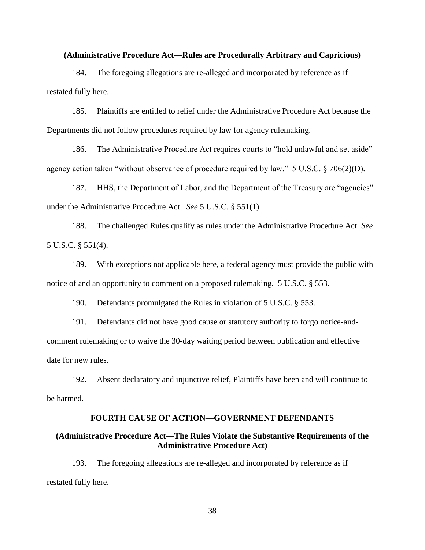### **(Administrative Procedure Act—Rules are Procedurally Arbitrary and Capricious)**

184. The foregoing allegations are re-alleged and incorporated by reference as if restated fully here.

185. Plaintiffs are entitled to relief under the Administrative Procedure Act because the Departments did not follow procedures required by law for agency rulemaking.

186. The Administrative Procedure Act requires courts to "hold unlawful and set aside" agency action taken "without observance of procedure required by law." 5 U.S.C. § 706(2)(D).

187. HHS, the Department of Labor, and the Department of the Treasury are "agencies" under the Administrative Procedure Act. *See* 5 U.S.C. § 551(1).

188. The challenged Rules qualify as rules under the Administrative Procedure Act. *See*  5 U.S.C. § 551(4).

189. With exceptions not applicable here, a federal agency must provide the public with notice of and an opportunity to comment on a proposed rulemaking. 5 U.S.C. § 553.

190. Defendants promulgated the Rules in violation of 5 U.S.C. § 553.

191. Defendants did not have good cause or statutory authority to forgo notice-andcomment rulemaking or to waive the 30-day waiting period between publication and effective date for new rules.

192. Absent declaratory and injunctive relief, Plaintiffs have been and will continue to be harmed.

### **FOURTH CAUSE OF ACTION—GOVERNMENT DEFENDANTS**

## **(Administrative Procedure Act—The Rules Violate the Substantive Requirements of the Administrative Procedure Act)**

193. The foregoing allegations are re-alleged and incorporated by reference as if restated fully here.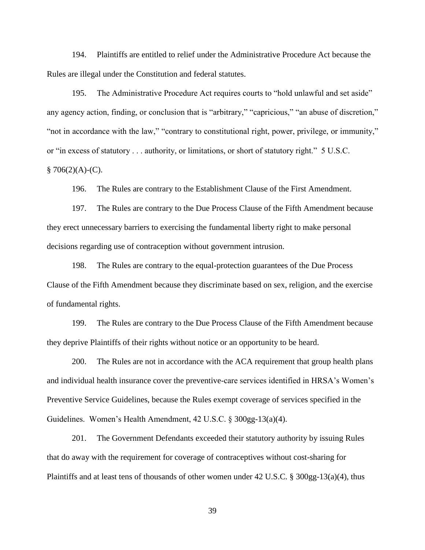194. Plaintiffs are entitled to relief under the Administrative Procedure Act because the Rules are illegal under the Constitution and federal statutes.

195. The Administrative Procedure Act requires courts to "hold unlawful and set aside" any agency action, finding, or conclusion that is "arbitrary," "capricious," "an abuse of discretion," "not in accordance with the law," "contrary to constitutional right, power, privilege, or immunity," or "in excess of statutory . . . authority, or limitations, or short of statutory right." 5 U.S.C.  $§ 706(2)(A)-(C).$ 

196. The Rules are contrary to the Establishment Clause of the First Amendment.

197. The Rules are contrary to the Due Process Clause of the Fifth Amendment because they erect unnecessary barriers to exercising the fundamental liberty right to make personal decisions regarding use of contraception without government intrusion.

198. The Rules are contrary to the equal-protection guarantees of the Due Process Clause of the Fifth Amendment because they discriminate based on sex, religion, and the exercise of fundamental rights.

199. The Rules are contrary to the Due Process Clause of the Fifth Amendment because they deprive Plaintiffs of their rights without notice or an opportunity to be heard.

200. The Rules are not in accordance with the ACA requirement that group health plans and individual health insurance cover the preventive-care services identified in HRSA's Women's Preventive Service Guidelines, because the Rules exempt coverage of services specified in the Guidelines. Women's Health Amendment, 42 U.S.C. § 300gg-13(a)(4).

201. The Government Defendants exceeded their statutory authority by issuing Rules that do away with the requirement for coverage of contraceptives without cost-sharing for Plaintiffs and at least tens of thousands of other women under 42 U.S.C. § 300gg-13(a)(4), thus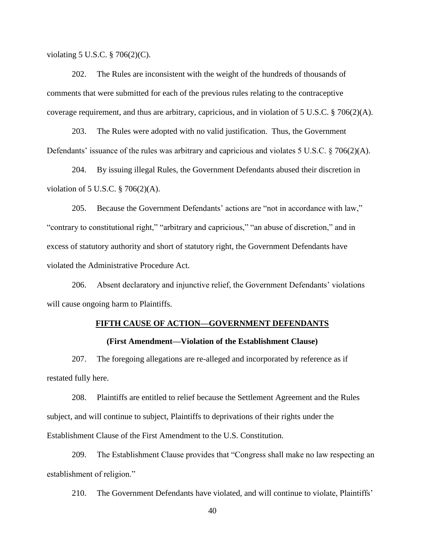violating 5 U.S.C. § 706(2)(C).

202. The Rules are inconsistent with the weight of the hundreds of thousands of comments that were submitted for each of the previous rules relating to the contraceptive coverage requirement, and thus are arbitrary, capricious, and in violation of 5 U.S.C.  $\S$  706(2)(A).

203. The Rules were adopted with no valid justification. Thus, the Government Defendants' issuance of the rules was arbitrary and capricious and violates 5 U.S.C. § 706(2)(A).

204. By issuing illegal Rules, the Government Defendants abused their discretion in violation of 5 U.S.C. § 706(2)(A).

205. Because the Government Defendants' actions are "not in accordance with law," "contrary to constitutional right," "arbitrary and capricious," "an abuse of discretion," and in excess of statutory authority and short of statutory right, the Government Defendants have violated the Administrative Procedure Act.

206. Absent declaratory and injunctive relief, the Government Defendants' violations will cause ongoing harm to Plaintiffs.

### **FIFTH CAUSE OF ACTION—GOVERNMENT DEFENDANTS**

### **(First Amendment—Violation of the Establishment Clause)**

207. The foregoing allegations are re-alleged and incorporated by reference as if restated fully here.

208. Plaintiffs are entitled to relief because the Settlement Agreement and the Rules subject, and will continue to subject, Plaintiffs to deprivations of their rights under the Establishment Clause of the First Amendment to the U.S. Constitution.

209. The Establishment Clause provides that "Congress shall make no law respecting an establishment of religion."

210. The Government Defendants have violated, and will continue to violate, Plaintiffs'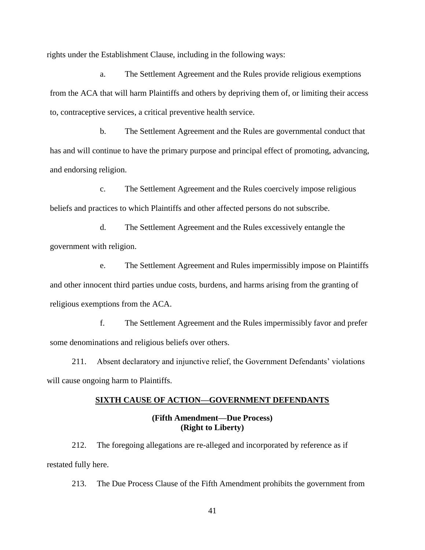rights under the Establishment Clause, including in the following ways:

a. The Settlement Agreement and the Rules provide religious exemptions from the ACA that will harm Plaintiffs and others by depriving them of, or limiting their access to, contraceptive services, a critical preventive health service.

b. The Settlement Agreement and the Rules are governmental conduct that has and will continue to have the primary purpose and principal effect of promoting, advancing, and endorsing religion.

c. The Settlement Agreement and the Rules coercively impose religious beliefs and practices to which Plaintiffs and other affected persons do not subscribe.

d. The Settlement Agreement and the Rules excessively entangle the government with religion.

e. The Settlement Agreement and Rules impermissibly impose on Plaintiffs and other innocent third parties undue costs, burdens, and harms arising from the granting of religious exemptions from the ACA.

f. The Settlement Agreement and the Rules impermissibly favor and prefer some denominations and religious beliefs over others.

211. Absent declaratory and injunctive relief, the Government Defendants' violations will cause ongoing harm to Plaintiffs.

### **SIXTH CAUSE OF ACTION—GOVERNMENT DEFENDANTS**

## **(Fifth Amendment—Due Process) (Right to Liberty)**

212. The foregoing allegations are re-alleged and incorporated by reference as if restated fully here.

213. The Due Process Clause of the Fifth Amendment prohibits the government from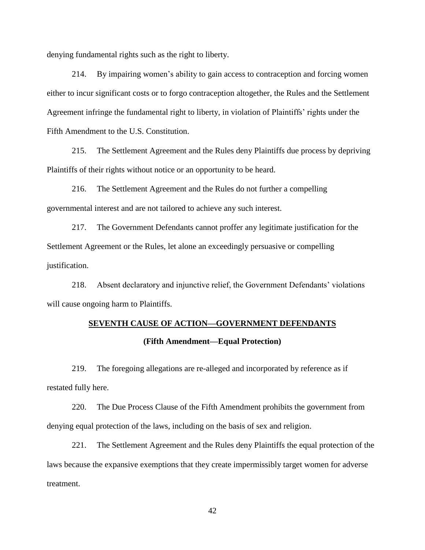denying fundamental rights such as the right to liberty.

214. By impairing women's ability to gain access to contraception and forcing women either to incur significant costs or to forgo contraception altogether, the Rules and the Settlement Agreement infringe the fundamental right to liberty, in violation of Plaintiffs' rights under the Fifth Amendment to the U.S. Constitution.

215. The Settlement Agreement and the Rules deny Plaintiffs due process by depriving Plaintiffs of their rights without notice or an opportunity to be heard.

216. The Settlement Agreement and the Rules do not further a compelling governmental interest and are not tailored to achieve any such interest.

217. The Government Defendants cannot proffer any legitimate justification for the Settlement Agreement or the Rules, let alone an exceedingly persuasive or compelling justification.

218. Absent declaratory and injunctive relief, the Government Defendants' violations will cause ongoing harm to Plaintiffs.

## **SEVENTH CAUSE OF ACTION—GOVERNMENT DEFENDANTS**

### **(Fifth Amendment—Equal Protection)**

219. The foregoing allegations are re-alleged and incorporated by reference as if restated fully here.

220. The Due Process Clause of the Fifth Amendment prohibits the government from denying equal protection of the laws, including on the basis of sex and religion.

221. The Settlement Agreement and the Rules deny Plaintiffs the equal protection of the laws because the expansive exemptions that they create impermissibly target women for adverse treatment.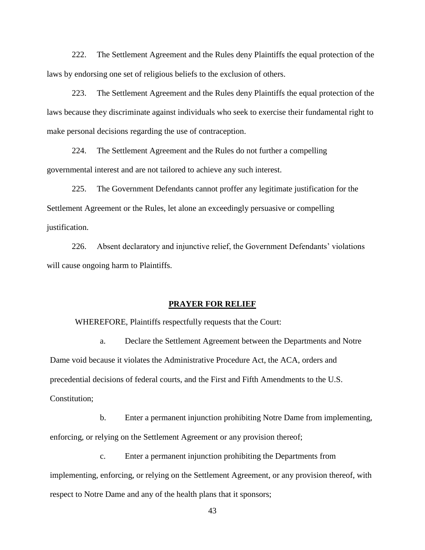222. The Settlement Agreement and the Rules deny Plaintiffs the equal protection of the laws by endorsing one set of religious beliefs to the exclusion of others.

223. The Settlement Agreement and the Rules deny Plaintiffs the equal protection of the laws because they discriminate against individuals who seek to exercise their fundamental right to make personal decisions regarding the use of contraception.

224. The Settlement Agreement and the Rules do not further a compelling governmental interest and are not tailored to achieve any such interest.

225. The Government Defendants cannot proffer any legitimate justification for the Settlement Agreement or the Rules, let alone an exceedingly persuasive or compelling justification.

226. Absent declaratory and injunctive relief, the Government Defendants' violations will cause ongoing harm to Plaintiffs.

### **PRAYER FOR RELIEF**

WHEREFORE, Plaintiffs respectfully requests that the Court:

a. Declare the Settlement Agreement between the Departments and Notre Dame void because it violates the Administrative Procedure Act, the ACA, orders and precedential decisions of federal courts, and the First and Fifth Amendments to the U.S. Constitution;

b. Enter a permanent injunction prohibiting Notre Dame from implementing, enforcing, or relying on the Settlement Agreement or any provision thereof;

c. Enter a permanent injunction prohibiting the Departments from implementing, enforcing, or relying on the Settlement Agreement, or any provision thereof, with respect to Notre Dame and any of the health plans that it sponsors;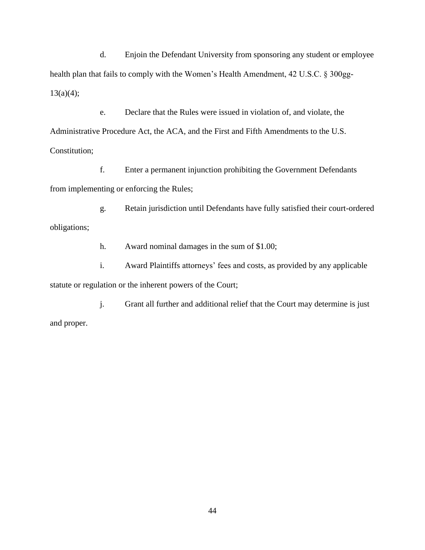d. Enjoin the Defendant University from sponsoring any student or employee health plan that fails to comply with the Women's Health Amendment, 42 U.S.C. § 300gg- $13(a)(4);$ 

e. Declare that the Rules were issued in violation of, and violate, the Administrative Procedure Act, the ACA, and the First and Fifth Amendments to the U.S. Constitution;

f. Enter a permanent injunction prohibiting the Government Defendants from implementing or enforcing the Rules;

g. Retain jurisdiction until Defendants have fully satisfied their court-ordered obligations;

h. Award nominal damages in the sum of \$1.00;

i. Award Plaintiffs attorneys' fees and costs, as provided by any applicable statute or regulation or the inherent powers of the Court;

j. Grant all further and additional relief that the Court may determine is just and proper.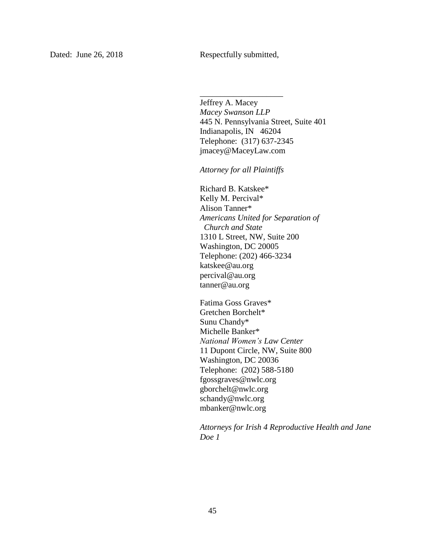\_\_\_\_\_\_\_\_\_\_\_\_\_\_\_\_\_\_\_\_

Jeffrey A. Macey *Macey Swanson LLP* 445 N. Pennsylvania Street, Suite 401 Indianapolis, IN 46204 Telephone: (317) 637-2345 jmacey@MaceyLaw.com

*Attorney for all Plaintiffs*

Richard B. Katskee\* Kelly M. Percival\* Alison Tanner\* *Americans United for Separation of Church and State* 1310 L Street, NW, Suite 200 Washington, DC 20005 Telephone: (202) 466-3234 katskee@au.org percival@au.org tanner@au.org

Fatima Goss Graves\* Gretchen Borchelt\* Sunu Chandy\* Michelle Banker\* *National Women's Law Center* 11 Dupont Circle, NW, Suite 800 Washington, DC 20036 Telephone: (202) 588-5180 fgossgraves@nwlc.org gborchelt@nwlc.org schandy@nwlc.org mbanker@nwlc.org

*Attorneys for Irish 4 Reproductive Health and Jane Doe 1*